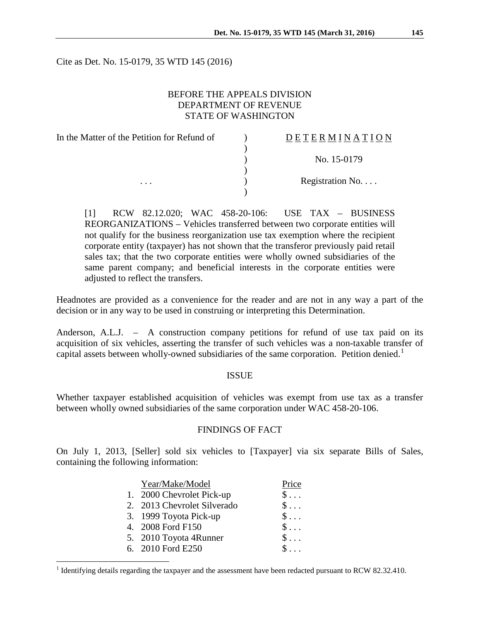Cite as Det. No. 15-0179, 35 WTD 145 (2016)

## BEFORE THE APPEALS DIVISION DEPARTMENT OF REVENUE STATE OF WASHINGTON

| In the Matter of the Petition for Refund of | DETERMINATION            |
|---------------------------------------------|--------------------------|
|                                             |                          |
|                                             | No. 15-0179              |
|                                             |                          |
| $\cdots$                                    | Registration No. $\dots$ |
|                                             |                          |

[1] RCW 82.12.020; WAC 458-20-106: USE TAX – BUSINESS REORGANIZATIONS – Vehicles transferred between two corporate entities will not qualify for the business reorganization use tax exemption where the recipient corporate entity (taxpayer) has not shown that the transferor previously paid retail sales tax; that the two corporate entities were wholly owned subsidiaries of the same parent company; and beneficial interests in the corporate entities were adjusted to reflect the transfers.

Headnotes are provided as a convenience for the reader and are not in any way a part of the decision or in any way to be used in construing or interpreting this Determination.

Anderson, A.L.J. – A construction company petitions for refund of use tax paid on its acquisition of six vehicles, asserting the transfer of such vehicles was a non-taxable transfer of capital assets between wholly-owned subsidiaries of the same corporation. Petition denied.<sup>[1](#page-0-0)</sup>

## ISSUE

Whether taxpayer established acquisition of vehicles was exempt from use tax as a transfer between wholly owned subsidiaries of the same corporation under WAC 458-20-106.

#### FINDINGS OF FACT

On July 1, 2013, [Seller] sold six vehicles to [Taxpayer] via six separate Bills of Sales, containing the following information:

| Year/Make/Model             | Price              |
|-----------------------------|--------------------|
| 1. 2000 Chevrolet Pick-up   | $\mathbb{S}$       |
| 2. 2013 Chevrolet Silverado | $\mathsf{S} \dots$ |
| 3. 1999 Toyota Pick-up      | $\$\ldots$         |
| 4. 2008 Ford F150           | $S \ldots$         |
| 5. 2010 Toyota 4Runner      | $\$\ldots$         |
| 6. 2010 Ford E250           | $S \ldots$         |
|                             |                    |

<span id="page-0-0"></span><sup>&</sup>lt;sup>1</sup> Identifying details regarding the taxpayer and the assessment have been redacted pursuant to RCW 82.32.410.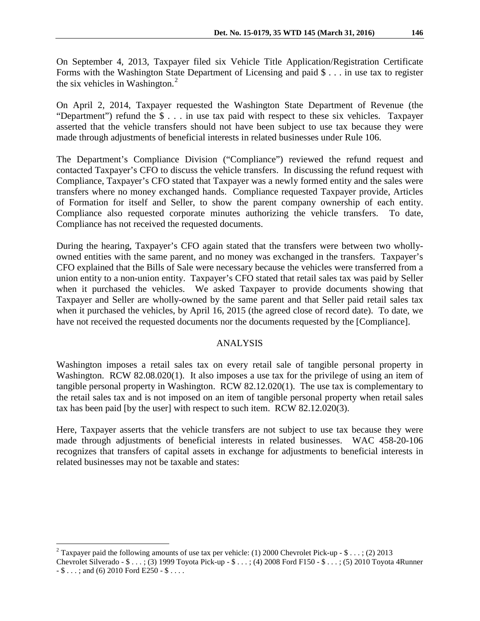On September 4, 2013, Taxpayer filed six Vehicle Title Application/Registration Certificate Forms with the Washington State Department of Licensing and paid \$ . . . in use tax to register the six vehicles in Washington. $2$ 

On April 2, 2014, Taxpayer requested the Washington State Department of Revenue (the "Department") refund the \$ . . . in use tax paid with respect to these six vehicles. Taxpayer asserted that the vehicle transfers should not have been subject to use tax because they were made through adjustments of beneficial interests in related businesses under Rule 106.

The Department's Compliance Division ("Compliance") reviewed the refund request and contacted Taxpayer's CFO to discuss the vehicle transfers. In discussing the refund request with Compliance, Taxpayer's CFO stated that Taxpayer was a newly formed entity and the sales were transfers where no money exchanged hands. Compliance requested Taxpayer provide, Articles of Formation for itself and Seller, to show the parent company ownership of each entity. Compliance also requested corporate minutes authorizing the vehicle transfers. To date, Compliance has not received the requested documents.

During the hearing, Taxpayer's CFO again stated that the transfers were between two whollyowned entities with the same parent, and no money was exchanged in the transfers. Taxpayer's CFO explained that the Bills of Sale were necessary because the vehicles were transferred from a union entity to a non-union entity. Taxpayer's CFO stated that retail sales tax was paid by Seller when it purchased the vehicles. We asked Taxpayer to provide documents showing that Taxpayer and Seller are wholly-owned by the same parent and that Seller paid retail sales tax when it purchased the vehicles, by April 16, 2015 (the agreed close of record date). To date, we have not received the requested documents nor the documents requested by the [Compliance].

## ANALYSIS

Washington imposes a retail sales tax on every retail sale of tangible personal property in Washington. RCW 82.08.020(1). It also imposes a use tax for the privilege of using an item of tangible personal property in Washington. RCW 82.12.020(1). The use tax is complementary to the retail sales tax and is not imposed on an item of tangible personal property when retail sales tax has been paid [by the user] with respect to such item. RCW 82.12.020(3).

Here, Taxpayer asserts that the vehicle transfers are not subject to use tax because they were made through adjustments of beneficial interests in related businesses. WAC 458-20-106 recognizes that transfers of capital assets in exchange for adjustments to beneficial interests in related businesses may not be taxable and states:

<span id="page-1-0"></span><sup>&</sup>lt;sup>2</sup> Taxpayer paid the following amounts of use tax per vehicle: (1) 2000 Chevrolet Pick-up - \$ . . . ; (2) 2013 Chevrolet Silverado - \$ . . . ; (3) 1999 Toyota Pick-up - \$ . . . ; (4) 2008 Ford F150 - \$ . . . ; (5) 2010 Toyota 4Runner  $-$  \$ . . . ; and (6) 2010 Ford E250  $-$  \$ . . . .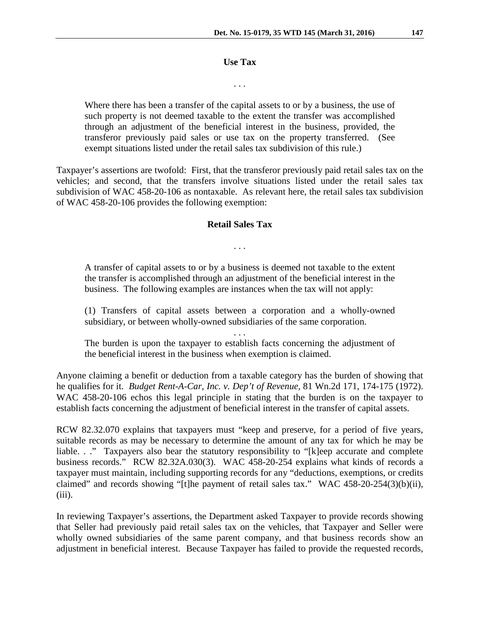#### **Use Tax**

. . .

Where there has been a transfer of the capital assets to or by a business, the use of such property is not deemed taxable to the extent the transfer was accomplished through an adjustment of the beneficial interest in the business, provided, the transferor previously paid sales or use tax on the property transferred. (See exempt situations listed under the retail sales tax subdivision of this rule.)

Taxpayer's assertions are twofold: First, that the transferor previously paid retail sales tax on the vehicles; and second, that the transfers involve situations listed under the retail sales tax subdivision of WAC 458-20-106 as nontaxable. As relevant here, the retail sales tax subdivision of WAC 458-20-106 provides the following exemption:

### **Retail Sales Tax**

. . .

A transfer of capital assets to or by a business is deemed not taxable to the extent the transfer is accomplished through an adjustment of the beneficial interest in the business. The following examples are instances when the tax will not apply:

(1) Transfers of capital assets between a corporation and a wholly-owned subsidiary, or between wholly-owned subsidiaries of the same corporation.

. . .

The burden is upon the taxpayer to establish facts concerning the adjustment of the beneficial interest in the business when exemption is claimed.

Anyone claiming a benefit or deduction from a taxable category has the burden of showing that he qualifies for it. *Budget Rent-A-Car, Inc. v. Dep't of Revenue,* 81 Wn.2d 171, 174-175 (1972). WAC 458-20-106 echos this legal principle in stating that the burden is on the taxpayer to establish facts concerning the adjustment of beneficial interest in the transfer of capital assets.

RCW 82.32.070 explains that taxpayers must "keep and preserve, for a period of five years, suitable records as may be necessary to determine the amount of any tax for which he may be liable. . ." Taxpayers also bear the statutory responsibility to "[k]eep accurate and complete business records." RCW 82.32A.030(3). WAC 458-20-254 explains what kinds of records a taxpayer must maintain, including supporting records for any "deductions, exemptions, or credits claimed" and records showing "[t]he payment of retail sales tax." WAC 458-20-254(3)(b)(ii),  $(iii)$ .

In reviewing Taxpayer's assertions, the Department asked Taxpayer to provide records showing that Seller had previously paid retail sales tax on the vehicles, that Taxpayer and Seller were wholly owned subsidiaries of the same parent company, and that business records show an adjustment in beneficial interest. Because Taxpayer has failed to provide the requested records,